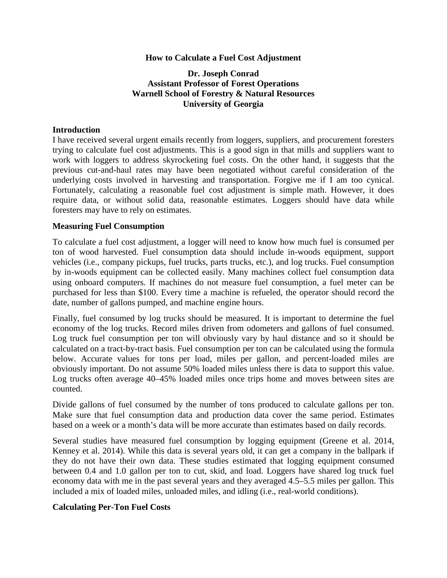### **How to Calculate a Fuel Cost Adjustment**

## **Dr. Joseph Conrad Assistant Professor of Forest Operations Warnell School of Forestry & Natural Resources University of Georgia**

#### **Introduction**

I have received several urgent emails recently from loggers, suppliers, and procurement foresters trying to calculate fuel cost adjustments. This is a good sign in that mills and suppliers want to work with loggers to address skyrocketing fuel costs. On the other hand, it suggests that the previous cut-and-haul rates may have been negotiated without careful consideration of the underlying costs involved in harvesting and transportation. Forgive me if I am too cynical. Fortunately, calculating a reasonable fuel cost adjustment is simple math. However, it does require data, or without solid data, reasonable estimates. Loggers should have data while foresters may have to rely on estimates.

### **Measuring Fuel Consumption**

To calculate a fuel cost adjustment, a logger will need to know how much fuel is consumed per ton of wood harvested. Fuel consumption data should include in-woods equipment, support vehicles (i.e., company pickups, fuel trucks, parts trucks, etc.), and log trucks. Fuel consumption by in-woods equipment can be collected easily. Many machines collect fuel consumption data using onboard computers. If machines do not measure fuel consumption, a fuel meter can be purchased for less than \$100. Every time a machine is refueled, the operator should record the date, number of gallons pumped, and machine engine hours.

Finally, fuel consumed by log trucks should be measured. It is important to determine the fuel economy of the log trucks. Record miles driven from odometers and gallons of fuel consumed. Log truck fuel consumption per ton will obviously vary by haul distance and so it should be calculated on a tract-by-tract basis. Fuel consumption per ton can be calculated using the formula below. Accurate values for tons per load, miles per gallon, and percent-loaded miles are obviously important. Do not assume 50% loaded miles unless there is data to support this value. Log trucks often average 40–45% loaded miles once trips home and moves between sites are counted.

Divide gallons of fuel consumed by the number of tons produced to calculate gallons per ton. Make sure that fuel consumption data and production data cover the same period. Estimates based on a week or a month's data will be more accurate than estimates based on daily records.

Several studies have measured fuel consumption by logging equipment (Greene et al. 2014, Kenney et al. 2014). While this data is several years old, it can get a company in the ballpark if they do not have their own data. These studies estimated that logging equipment consumed between 0.4 and 1.0 gallon per ton to cut, skid, and load. Loggers have shared log truck fuel economy data with me in the past several years and they averaged 4.5–5.5 miles per gallon. This included a mix of loaded miles, unloaded miles, and idling (i.e., real-world conditions).

#### **Calculating Per-Ton Fuel Costs**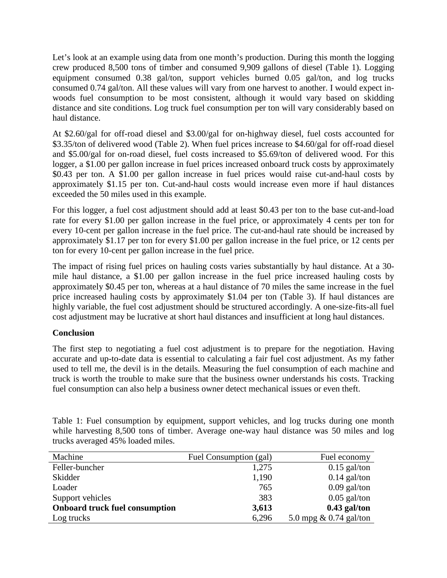Let's look at an example using data from one month's production. During this month the logging crew produced 8,500 tons of timber and consumed 9,909 gallons of diesel (Table 1). Logging equipment consumed 0.38 gal/ton, support vehicles burned 0.05 gal/ton, and log trucks consumed 0.74 gal/ton. All these values will vary from one harvest to another. I would expect inwoods fuel consumption to be most consistent, although it would vary based on skidding distance and site conditions. Log truck fuel consumption per ton will vary considerably based on haul distance.

At \$2.60/gal for off-road diesel and \$3.00/gal for on-highway diesel, fuel costs accounted for \$3.35/ton of delivered wood (Table 2). When fuel prices increase to \$4.60/gal for off-road diesel and \$5.00/gal for on-road diesel, fuel costs increased to \$5.69/ton of delivered wood. For this logger, a \$1.00 per gallon increase in fuel prices increased onboard truck costs by approximately \$0.43 per ton. A \$1.00 per gallon increase in fuel prices would raise cut-and-haul costs by approximately \$1.15 per ton. Cut-and-haul costs would increase even more if haul distances exceeded the 50 miles used in this example.

For this logger, a fuel cost adjustment should add at least \$0.43 per ton to the base cut-and-load rate for every \$1.00 per gallon increase in the fuel price, or approximately 4 cents per ton for every 10-cent per gallon increase in the fuel price. The cut-and-haul rate should be increased by approximately \$1.17 per ton for every \$1.00 per gallon increase in the fuel price, or 12 cents per ton for every 10-cent per gallon increase in the fuel price.

The impact of rising fuel prices on hauling costs varies substantially by haul distance. At a 30 mile haul distance, a \$1.00 per gallon increase in the fuel price increased hauling costs by approximately \$0.45 per ton, whereas at a haul distance of 70 miles the same increase in the fuel price increased hauling costs by approximately \$1.04 per ton (Table 3). If haul distances are highly variable, the fuel cost adjustment should be structured accordingly. A one-size-fits-all fuel cost adjustment may be lucrative at short haul distances and insufficient at long haul distances.

# **Conclusion**

The first step to negotiating a fuel cost adjustment is to prepare for the negotiation. Having accurate and up-to-date data is essential to calculating a fair fuel cost adjustment. As my father used to tell me, the devil is in the details. Measuring the fuel consumption of each machine and truck is worth the trouble to make sure that the business owner understands his costs. Tracking fuel consumption can also help a business owner detect mechanical issues or even theft.

Table 1: Fuel consumption by equipment, support vehicles, and log trucks during one month while harvesting 8,500 tons of timber. Average one-way haul distance was 50 miles and log trucks averaged 45% loaded miles.

| Machine                               | Fuel Consumption (gal) | Fuel economy              |
|---------------------------------------|------------------------|---------------------------|
| Feller-buncher                        | 1,275                  | $0.15$ gal/ton            |
| Skidder                               | 1,190                  | $0.14$ gal/ton            |
| Loader                                | 765                    | $0.09$ gal/ton            |
| Support vehicles                      | 383                    | $0.05$ gal/ton            |
| <b>Onboard truck fuel consumption</b> | 3,613                  | $0.43$ gal/ton            |
| Log trucks                            | 6,296                  | 5.0 mpg $\&$ 0.74 gal/ton |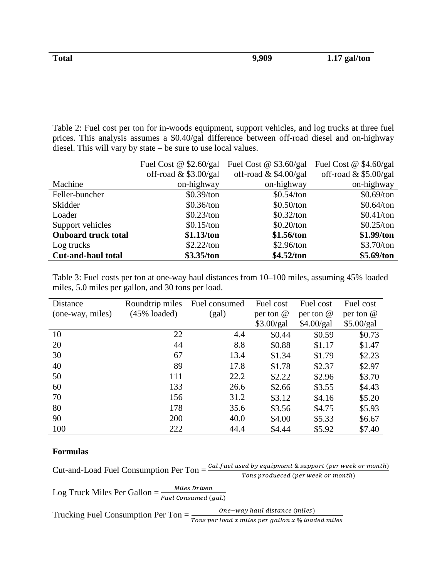| <b>Total</b> | 9,909 | gal/ton<br>17<br>1.17 |
|--------------|-------|-----------------------|
|              |       |                       |

Table 2: Fuel cost per ton for in-woods equipment, support vehicles, and log trucks at three fuel prices. This analysis assumes a \$0.40/gal difference between off-road diesel and on-highway diesel. This will vary by state – be sure to use local values.

|                            | Fuel Cost $@$ \$2.60/gal | Fuel Cost @ $$3.60/gal$ | Fuel Cost @ \$4.60/gal  |  |
|----------------------------|--------------------------|-------------------------|-------------------------|--|
|                            | off-road $&$ \$3.00/gal  | off-road $&$ \$4.00/gal | off-road $&$ \$5.00/gal |  |
| Machine                    | on-highway               | on-highway              | on-highway              |  |
| Feller-buncher             | $$0.39$ /ton             | \$0.54/ton              | \$0.69/ton              |  |
| Skidder                    | \$0.36/ton               | $$0.50$ /ton            | \$0.64/ton              |  |
| Loader                     | \$0.23/ton               | $$0.32$ /ton            | \$0.41/ton              |  |
| Support vehicles           | \$0.15/ton               | \$0.20/ton              | \$0.25/ton              |  |
| <b>Onboard truck total</b> | \$1.13/ton               | \$1.56/ton              | \$1.99/ton              |  |
| Log trucks                 | \$2.22/ton               | \$2.96/ton              | \$3.70/ton              |  |
| <b>Cut-and-haul total</b>  | \$3.35/ton               | \$4.52/ton              | \$5.69/ton              |  |

Table 3: Fuel costs per ton at one-way haul distances from 10–100 miles, assuming 45% loaded miles, 5.0 miles per gallon, and 30 tons per load.

| Distance         | Roundtrip miles         | Fuel consumed | Fuel cost  | Fuel cost   | Fuel cost   |
|------------------|-------------------------|---------------|------------|-------------|-------------|
| (one-way, miles) | $(45\% \text{ loaded})$ | (gal)         | per ton @  | per ton $@$ | per ton $@$ |
|                  |                         |               | \$3.00/gal | \$4.00/gal  | \$5.00/gal  |
| 10               | 22                      | 4.4           | \$0.44     | \$0.59      | \$0.73      |
| 20               | 44                      | 8.8           | \$0.88     | \$1.17      | \$1.47      |
| 30               | 67                      | 13.4          | \$1.34     | \$1.79      | \$2.23      |
| 40               | 89                      | 17.8          | \$1.78     | \$2.37      | \$2.97      |
| 50               | 111                     | 22.2          | \$2.22     | \$2.96      | \$3.70      |
| 60               | 133                     | 26.6          | \$2.66     | \$3.55      | \$4.43      |
| 70               | 156                     | 31.2          | \$3.12     | \$4.16      | \$5.20      |
| 80               | 178                     | 35.6          | \$3.56     | \$4.75      | \$5.93      |
| 90               | 200                     | 40.0          | \$4.00     | \$5.33      | \$6.67      |
| 100              | 222                     | 44.4          | \$4.44     | \$5.92      | \$7.40      |

## **Formulas**

Cut-and-Load Fuel Consumption Per  $\text{Tor} = \frac{Gal.t \text{uel used by equipment & support (per week or month)}}{\text{Tons produced (per week or month)}}$ 

Log Truek Miles Per Gallon = 
$$
\frac{Miles\,Dirven}{Fuel\,consumed\,(gal.)}
$$

Trucking Fuel Consumption Per  $\text{ Ton} = \frac{One-way \text{ haul distance (miles)}}{T \text{ons per load } x \text{ miles per gallon } x \text{ % loaded miles}}$